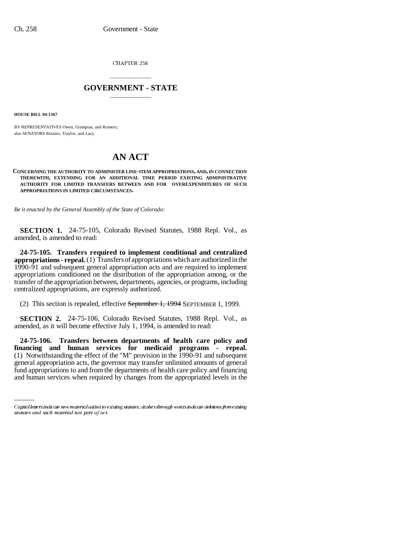CHAPTER 258

## \_\_\_\_\_\_\_\_\_\_\_\_\_\_\_ **GOVERNMENT - STATE** \_\_\_\_\_\_\_\_\_\_\_\_\_\_\_

**HOUSE BILL 94-1367**

BY REPRESENTATIVES Owen, Grampsas, and Romero; also SENATORS Rizzuto, Traylor, and Lacy.

## **AN ACT**

## **CONCERNING THE AUTHORITY TO ADMINISTER LINE-ITEM APPROPRIATIONS, AND, IN CONNECTION THEREWITH, EXTENDING FOR AN ADDITIONAL TIME PERIOD EXISTING ADMINISTRATIVE AUTHORITY FOR LIMITED TRANSFERS BETWEEN AND FOR OVEREXPENDITURES OF SUCH APPROPRIATIONS IN LIMITED CIRCUMSTANCES.**

*Be it enacted by the General Assembly of the State of Colorado:*

**SECTION 1.** 24-75-105, Colorado Revised Statutes, 1988 Repl. Vol., as amended, is amended to read:

**24-75-105. Transfers required to implement conditional and centralized appropriations - repeal.** (1) Transfers of appropriations which are authorized in the 1990-91 and subsequent general appropriation acts and are required to implement appropriations conditioned on the distribution of the appropriation among, or the transfer of the appropriation between, departments, agencies, or programs, including centralized appropriations, are expressly authorized.

(2) This section is repealed, effective September 1, 1994 SEPTEMBER 1, 1999.

**SECTION 2.** 24-75-106, Colorado Revised Statutes, 1988 Repl. Vol., as amended, as it will become effective July 1, 1994, is amended to read:

 **financing and human services for medicaid programs - repeal. 24-75-106. Transfers between departments of health care policy and** (1) Notwithstanding the effect of the "M" provision in the 1990-91 and subsequent general appropriation acts, the governor may transfer unlimited amounts of general fund appropriations to and from the departments of health care policy and financing and human services when required by changes from the appropriated levels in the

Capital letters indicate new material added to existing statutes; dashes through words indicate deletions from existing statutes and such material not part of act.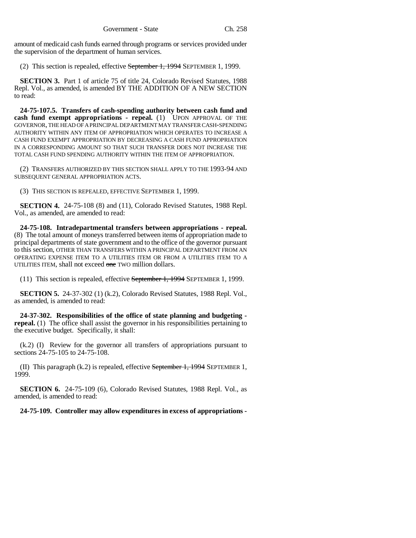amount of medicaid cash funds earned through programs or services provided under the supervision of the department of human services.

(2) This section is repealed, effective September 1, 1994 SEPTEMBER 1, 1999.

**SECTION 3.** Part 1 of article 75 of title 24, Colorado Revised Statutes, 1988 Repl. Vol., as amended, is amended BY THE ADDITION OF A NEW SECTION to read:

**24-75-107.5. Transfers of cash-spending authority between cash fund and cash fund exempt appropriations - repeal.** (1) UPON APPROVAL OF THE GOVERNOR, THE HEAD OF A PRINCIPAL DEPARTMENT MAY TRANSFER CASH-SPENDING AUTHORITY WITHIN ANY ITEM OF APPROPRIATION WHICH OPERATES TO INCREASE A CASH FUND EXEMPT APPROPRIATION BY DECREASING A CASH FUND APPROPRIATION IN A CORRESPONDING AMOUNT SO THAT SUCH TRANSFER DOES NOT INCREASE THE TOTAL CASH FUND SPENDING AUTHORITY WITHIN THE ITEM OF APPROPRIATION.

(2) TRANSFERS AUTHORIZED BY THIS SECTION SHALL APPLY TO THE 1993-94 AND SUBSEQUENT GENERAL APPROPRIATION ACTS.

(3) THIS SECTION IS REPEALED, EFFECTIVE SEPTEMBER 1, 1999.

**SECTION 4.** 24-75-108 (8) and (11), Colorado Revised Statutes, 1988 Repl. Vol., as amended, are amended to read:

**24-75-108. Intradepartmental transfers between appropriations - repeal.** (8) The total amount of moneys transferred between items of appropriation made to principal departments of state government and to the office of the governor pursuant to this section, OTHER THAN TRANSFERS WITHIN A PRINCIPAL DEPARTMENT FROM AN OPERATING EXPENSE ITEM TO A UTILITIES ITEM OR FROM A UTILITIES ITEM TO A UTILITIES ITEM, shall not exceed one TWO million dollars.

(11) This section is repealed, effective September 1, 1994 SEPTEMBER 1, 1999.

**SECTION 5.** 24-37-302 (1) (k.2), Colorado Revised Statutes, 1988 Repl. Vol., as amended, is amended to read:

**24-37-302. Responsibilities of the office of state planning and budgeting repeal.** (1) The office shall assist the governor in his responsibilities pertaining to the executive budget. Specifically, it shall:

(k.2) (I) Review for the governor all transfers of appropriations pursuant to sections 24-75-105 to 24-75-108.

(II) This paragraph  $(k.2)$  is repealed, effective September 1, 1994 SEPTEMBER 1, 1999.

**SECTION 6.** 24-75-109 (6), Colorado Revised Statutes, 1988 Repl. Vol., as amended, is amended to read:

**24-75-109. Controller may allow expenditures in excess of appropriations -**